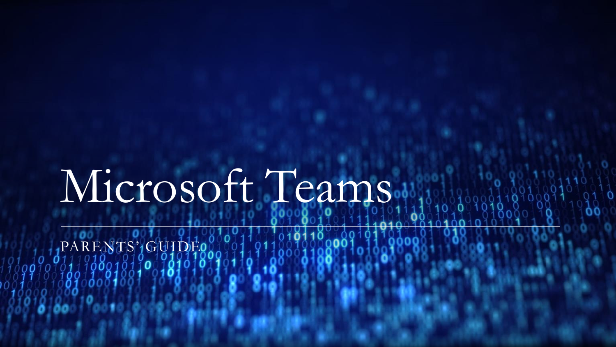# Microsoft Teams.

PARENTS' GUIDEO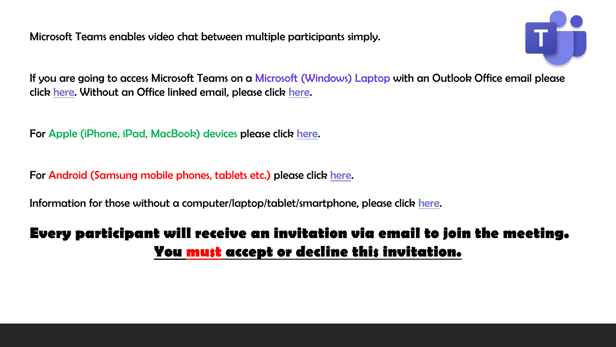Microsoft Teams enables video chat between multiple participants simply.



If you are going to access Microsoft Teams on a Microsoft (Windows) Laptop with an Outlook Office email please click [here.](#page-2-0) Without an Office linked email, please click [here.](#page-5-0)

For Apple (iPhone, iPad, MacBook) devices please click [here](#page-6-0).

For Android (Samsung mobile phones, tablets etc.) please click [here.](#page-10-0)

Information for those without a computer/laptop/tablet/smartphone, please click [here.](#page-13-0)

## **Every participant will receive an invitation via email to join the meeting. You must accept or decline this invitation.**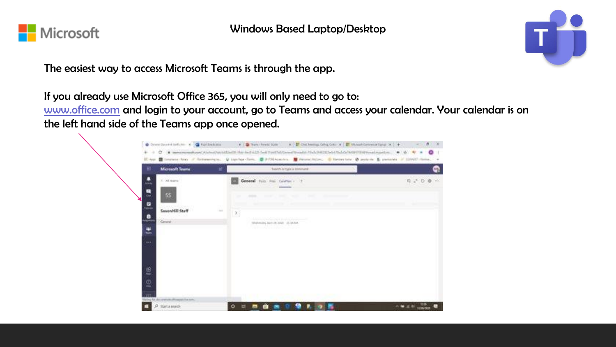<span id="page-2-0"></span>

Windows Based Laptop/Desktop

The easiest way to access Microsoft Teams is through the app.

If you already use Microsoft Office 365, you will only need to go to:

[www.office.com](http://www.office.com/) and login to your account, go to Teams and access your calendar. Your calendar is on the left hand side of the Teams app once opened.



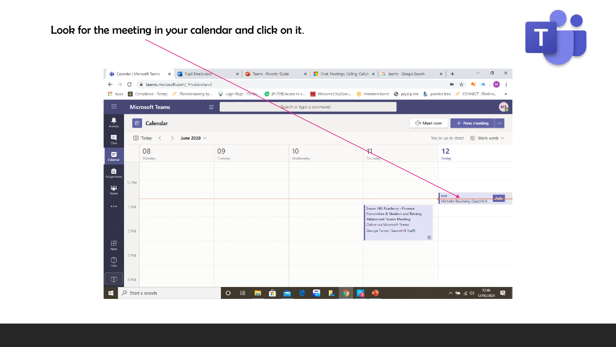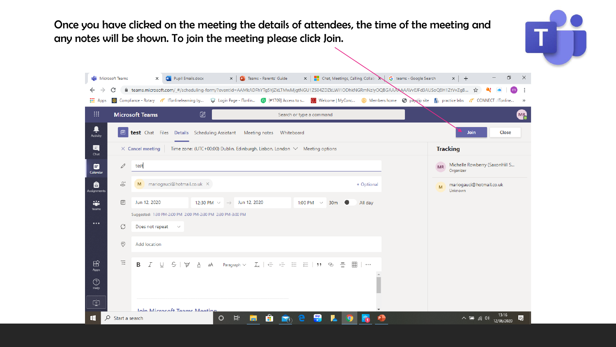Once you have clicked on the meeting the details of attendees, the time of the meeting and any notes will be shown. To join the meeting please click Join.

|                       | <b>Di</b> Microsoft Teams                                                                                  | Pupil Emails.docx<br>$\times$<br>$W_{\perp}$                               | $\times$                                                                                                                                                                                                                                                                                                                    | <b>P.</b> Teams - Parents' Guide                    |                             |            | $\mathbf{x}$   $\blacksquare$ Chat, Meetings, Calling, Collaber $\mathbf{x}$   G teams - Google Search | $x$ +                                                    | σ<br>$\times$            |  |
|-----------------------|------------------------------------------------------------------------------------------------------------|----------------------------------------------------------------------------|-----------------------------------------------------------------------------------------------------------------------------------------------------------------------------------------------------------------------------------------------------------------------------------------------------------------------------|-----------------------------------------------------|-----------------------------|------------|--------------------------------------------------------------------------------------------------------|----------------------------------------------------------|--------------------------|--|
| <b>∷</b> Apps         | C                                                                                                          |                                                                            | ft teams.microsoft.com/_#/scheduling-form/?eventId=AAMkADFhYTg5YjZkLTMwMjgtNGU1ZS04ZDZkLWI1ODhkNGRmNzIyOQBGAAAAAA4VvEJFd3AUSoQ8H1ZtVvZgB ☆<br>Compliance - Rotary / T ITonlinelearning by S Login Page - ITonlin ( F1709) Access to s [ Welcome   MyConc ( Members home o payelip site   practice labs / CONNECT : ITonline |                                                     |                             |            |                                                                                                        |                                                          | ÷<br>m<br>$\rightarrow$  |  |
| $\mathop{\mathbb{H}}$ |                                                                                                            | <b>Microsoft Teams</b>                                                     | $\varnothing$                                                                                                                                                                                                                                                                                                               |                                                     | Search or type a command    |            |                                                                                                        |                                                          | <b>MR</b>                |  |
| ٠<br>Activity         | ₿                                                                                                          |                                                                            | test Chat Files Details Scheduling Assistant Meeting notes                                                                                                                                                                                                                                                                  | Whiteboard                                          |                             |            |                                                                                                        | <b>Join</b>                                              | Close                    |  |
| 티<br>Chat             | $\times$ Cancel meeting<br>Time zone: (UTC+00:00) Dublin, Edinburgh, Lisbon, London $\vee$ Meeting options |                                                                            |                                                                                                                                                                                                                                                                                                                             |                                                     |                             |            |                                                                                                        | <b>Tracking</b>                                          |                          |  |
| ▦<br>Calendar         | D                                                                                                          | test                                                                       |                                                                                                                                                                                                                                                                                                                             |                                                     |                             |            |                                                                                                        | Michelle Rowberry (SaxonHill S<br><b>MR</b><br>Organizer |                          |  |
| Ô<br>Assignments      | $\stackrel{\circ}{=}$                                                                                      | mariogauci@hotmail.co.uk X<br>M                                            |                                                                                                                                                                                                                                                                                                                             |                                                     |                             | + Optional |                                                                                                        | mariogauci@hotmail.co.uk<br>M<br>Unknown                 |                          |  |
| ÷<br>Teams            | ₿                                                                                                          | Jun 12, 2020<br>Suggested: 1:30 PM-2:00 PM 2:00 PM-2:30 PM 2:30 PM-3:00 PM | 12:30 PM $\vee$ $\rightarrow$ Jun 12, 2020                                                                                                                                                                                                                                                                                  |                                                     | 1:00 PM $\sim$ 30m          | All day    |                                                                                                        |                                                          |                          |  |
|                       | Ø                                                                                                          | Does not repeat<br>$\sim$                                                  |                                                                                                                                                                                                                                                                                                                             |                                                     |                             |            |                                                                                                        |                                                          |                          |  |
|                       | $\circledcirc$                                                                                             | Add location                                                               |                                                                                                                                                                                                                                                                                                                             |                                                     |                             |            |                                                                                                        |                                                          |                          |  |
|                       |                                                                                                            |                                                                            |                                                                                                                                                                                                                                                                                                                             |                                                     |                             |            |                                                                                                        |                                                          |                          |  |
| $\mathbb{B}$<br>Apps  | $\coloneqq$                                                                                                | $S + F$<br>В<br>$\mathcal{T}$<br>U                                         | A<br>дA<br>Paragraph $\vee$                                                                                                                                                                                                                                                                                                 | $T_{\rm x}$   $\in$ $\rightarrow$ $\equiv$ $\equiv$ | 這   ,, @ 壹                  | 用   …      |                                                                                                        |                                                          |                          |  |
| ⊙<br>Help             |                                                                                                            |                                                                            |                                                                                                                                                                                                                                                                                                                             |                                                     |                             |            |                                                                                                        |                                                          |                          |  |
| Φ                     |                                                                                                            | Join Microsoft Teams Meeting                                               |                                                                                                                                                                                                                                                                                                                             |                                                     |                             |            |                                                                                                        |                                                          |                          |  |
| H                     | Q<br>Start a search                                                                                        |                                                                            | <b>目</b><br>$\circ$                                                                                                                                                                                                                                                                                                         | H                                                   | $rac{\text{sky}}{\text{g}}$ |            |                                                                                                        | 八国 后(1)                                                  | 13:16<br>見<br>12/06/2020 |  |

IJĎ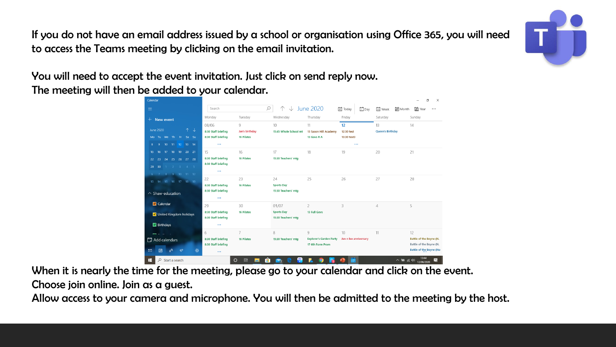<span id="page-5-0"></span>If you do not have an email address issued by a school or organisation using Office 365, you will need to access the Teams meeting by clicking on the email invitation.

You will need to accept the event invitation. Just click on send reply now. The meeting will then be added to your calendar.

| Calendar                                        |                                                        |                     |                                          |                                                    |                       |                                 | O<br>$\times$                                      |
|-------------------------------------------------|--------------------------------------------------------|---------------------|------------------------------------------|----------------------------------------------------|-----------------------|---------------------------------|----------------------------------------------------|
| $\equiv$                                        | Search                                                 | $\varnothing$       | $\sqrt{2}$                               | June 2020                                          | □Day<br>宅 Today       | <b>□</b> Week<br><b>■</b> Month | 副 Year<br>$\cdots$                                 |
| $+$ New event                                   | Monday                                                 | Tuesday             | Wednesday                                | Thursday                                           | Friday                | Saturday                        | Sunday                                             |
| $\uparrow \downarrow$<br><b>June 2020</b>       | 08/06<br>8:30 Staff briefing                           | 9<br>Jan's birthday | 10<br>15:45 Whole School mt              | 11<br>13 Saxon Hill Academy                        | 12<br>12:30 test      | 13<br><b>Queen's Birthday</b>   | 14                                                 |
| Mo Tu We Th Fr Sa Su                            | 8:30 Staff briefing                                    | <b>16 Pilates</b>   |                                          | 13 Govs R A                                        | 13:30 test3           |                                 |                                                    |
| 10 11 12 13 14<br>9<br>8                        | $\cdots$                                               |                     |                                          |                                                    | $\cdots$              |                                 |                                                    |
| 17 18 19 20 21<br>16<br>$15-15$                 | 15                                                     | 16                  | 17                                       | 18                                                 | 19                    | 20                              | 21                                                 |
| 24  25  26  27  28<br>$22 \t 23$                | 8:30 Staff briefing                                    | <b>16 Pilates</b>   | 15:30 Teachers' mtg                      |                                                    |                       |                                 |                                                    |
| $1 \quad 2 \quad 3 \quad 4 \quad 5$<br>29<br>30 | 8:30 Staff briefing                                    |                     |                                          |                                                    |                       |                                 |                                                    |
| 9 10 11 12<br>8 <sup>1</sup>                    | $\cdots$                                               |                     |                                          |                                                    |                       |                                 |                                                    |
| 13 14 15 16 17 18 19                            | 22                                                     | 23                  | 24                                       | 25                                                 | 26                    | 27                              | 28                                                 |
| $\land$ Shaw-education                          | 8:30 Staff briefing<br>8:30 Staff briefing<br>$\cdots$ | <b>16 Pilates</b>   | <b>Sports Day</b><br>15:30 Teachers' mtg |                                                    |                       |                                 |                                                    |
| $\triangledown$ Calendar                        | 29                                                     | 30                  | 01/07                                    | $\overline{2}$                                     | 3                     | $\overline{4}$                  | 5                                                  |
| V United Kingdom holidays                       | 8:30 Staff briefing<br>8:30 Staff briefing             | <b>16 Pilates</b>   | <b>Sports Day</b><br>15:30 Teachers' mtg | 13 Full Govs                                       |                       |                                 |                                                    |
| Birthdays                                       | $\cdots$                                               |                     |                                          |                                                    |                       |                                 |                                                    |
|                                                 | 6                                                      | $\overline{7}$      | 8                                        | Q                                                  | 10                    | 11                              | 12                                                 |
| 日 Add calendars                                 | 8:30 Staff briefing<br>8:30 Staff briefing             | <b>16 Pilates</b>   | 15:30 Teachers' mtg                      | <b>Explorer's Garden Party</b><br>17 6th Form Prom | Jan n lee anniversary |                                 | Battle of the Boyne (N.<br>Battle of the Boyne (N. |
| 圖<br>$\triangleright$<br>⇙<br><b>&amp;</b>      | $\cdots$                                               |                     |                                          |                                                    |                       |                                 | Battle of the Boyne (No                            |
| H<br>$O$ Start a search                         |                                                        | Ei.<br>O<br>m       | $\frac{1}{2}$                            |                                                    | 髒                     | へ雪                              | 見<br>后(1)<br>12/06/2020                            |

When it is nearly the time for the meeting, please go to your calendar and click on the event. Choose join online. Join as a guest.

Allow access to your camera and microphone. You will then be admitted to the meeting by the host.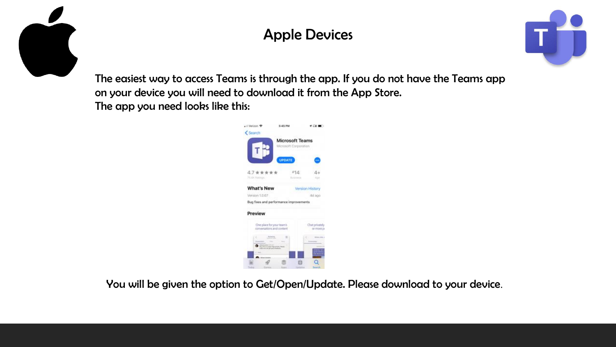<span id="page-6-0"></span>

# Apple Devices



The easiest way to access Teams is through the app. If you do not have the Teams app on your device you will need to download it from the App Store. The app you need looks like this:



You will be given the option to Get/Open/Update. Please download to your device.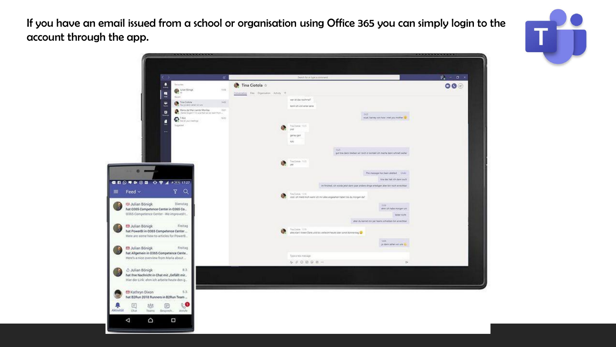If you have an email issued from a school or organisation using Office 365 you can simply login to the account through the app.

> $-100$  $\equiv$  F

> > $\Box$

D

础

Teams

۵

昌

 $\triangleleft$ 

Aktiwität



| -------------                                                                                            |                                                          |                                                                                            |                                                                          | .                                  |
|----------------------------------------------------------------------------------------------------------|----------------------------------------------------------|--------------------------------------------------------------------------------------------|--------------------------------------------------------------------------|------------------------------------|
|                                                                                                          |                                                          |                                                                                            |                                                                          |                                    |
| $\leftarrow$<br>$\mathfrak{g}$                                                                           |                                                          | Search for an type a steroment:                                                            |                                                                          | $\mathbf{v}_i = \mathbf{a} \times$ |
| $\overline{1}$<br>Santonita<br>$\bigcirc$ Mechange<br>$-154$<br>a<br>$\sim$<br><b>Raciano</b>            | Tina Ciotola o<br>Commission Rive Organisation Actualy + |                                                                                            |                                                                          | $\circ\bullet$                     |
| 3400<br><b>Contractions</b><br>ш<br>٠<br>$-1241$<br>o                                                    |                                                          | ner itt das nochmalt.<br><b>Renn lich von einer seine</b>                                  |                                                                          |                                    |
| MAI<br>$Q$ for a particularly<br>L<br>Segurant<br><b>THE</b>                                             |                                                          | tier.<br>Tre-Dotale 1919<br>ivir<br>geneu gelf.<br>NN                                      | suict, barray von how i met you mother                                   |                                    |
|                                                                                                          | G)                                                       | 1125<br>Tru Crock: 1121<br>m.                                                              | gut fine dans bleiben wir roch in kontakt ich mache dann schnell einfas- |                                    |
|                                                                                                          |                                                          |                                                                                            | This message has been deleted  Under<br>fire day on the day also         |                                    |
|                                                                                                          |                                                          | im frished, ch winde jetzt dann paar andere dinge whedigen aber bin noch en eichbar-       |                                                                          |                                    |
| Q<br>Y.                                                                                                  | e.                                                       | Section 1111<br>cool ich meist mich went ich mit alles angesetien habet sie durchtigen da? |                                                                          |                                    |
| lulian Bönigk<br>Dienstag<br>0365 Competence Center in 0365 Co<br>5 Competence Center - We improved L.   |                                                          |                                                                                            | <b>TER</b><br>shin ich habe morgen unt-<br>legal size.                   |                                    |
| Freitag                                                                                                  |                                                          |                                                                                            | aber du kannet mir per teams schreiben bin enerolibar                    |                                    |
| kulian Bönigk<br>PowerBI in 0365 Competence Center<br>are some how to articles for PowerB.               |                                                          | Neg-Debra 1039-<br>after start Valen Dark und bis vielaufst faute oder jungt donnerstag Ch | <b>Sale</b>                                                              |                                    |
| Iulian Bönigk<br>Freitag<br>Allgemein in 0365 Competence Cente                                           |                                                          |                                                                                            | jo dans sehen sir und da-                                                |                                    |
| i's a nice overview from Maria about                                                                     |                                                          | Type a rane massage<br>$9900008$ .                                                         | D.                                                                       |                                    |
| Iolian Bönigk<br>8.3.<br>hre Nachricht in Chat mit "Gefällt mir<br>der Link: ehm ich arbeite heute den g |                                                          |                                                                                            |                                                                          |                                    |
| (athryn Dixon<br>5.3.<br>82Run 2018 Runners in B2Run Team                                                |                                                          |                                                                                            |                                                                          |                                    |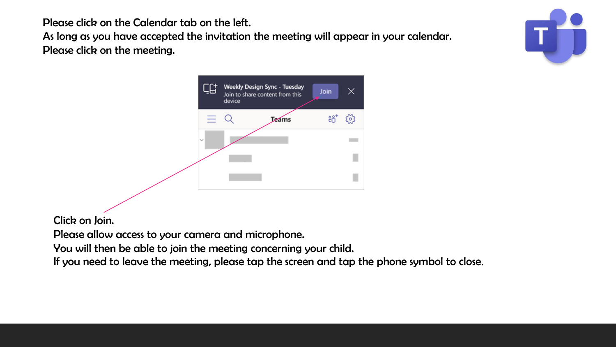Please click on the Calendar tab on the left.

As long as you have accepted the invitation the meeting will appear in your calendar. Please click on the meeting.





Click on Join.

Please allow access to your camera and microphone.

You will then be able to join the meeting concerning your child.

If you need to leave the meeting, please tap the screen and tap the phone symbol to close.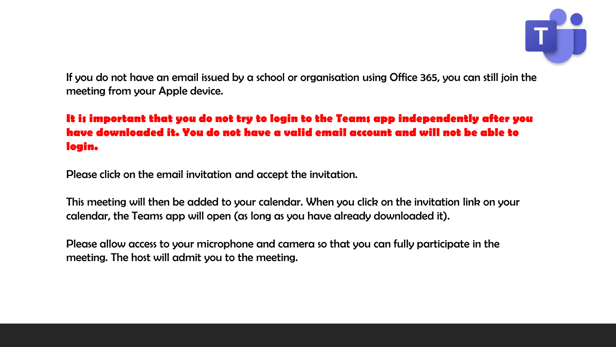

If you do not have an email issued by a school or organisation using Office 365, you can still join the meeting from your Apple device.

#### **It is important that you do not try to login to the Teams app independently after you have downloaded it. You do not have a valid email account and will not be able to login.**

Please click on the email invitation and accept the invitation.

This meeting will then be added to your calendar. When you click on the invitation link on your calendar, the Teams app will open (as long as you have already downloaded it).

Please allow access to your microphone and camera so that you can fully participate in the meeting. The host will admit you to the meeting.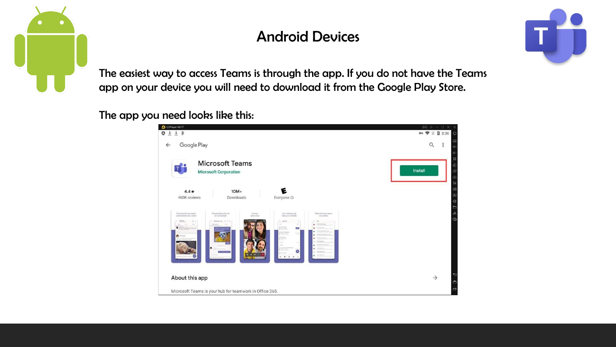<span id="page-10-0"></span>

## Android Devices



The easiest way to access Teams is through the app. If you do not have the Teams app on your device you will need to download it from the Google Play Store.

#### The app you need looks like this:

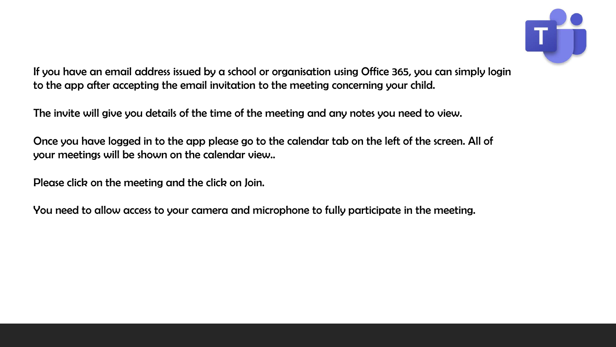

If you have an email address issued by a school or organisation using Office 365, you can simply login to the app after accepting the email invitation to the meeting concerning your child.

The invite will give you details of the time of the meeting and any notes you need to view.

Once you have logged in to the app please go to the calendar tab on the left of the screen. All of your meetings will be shown on the calendar view..

Please click on the meeting and the click on Join.

You need to allow access to your camera and microphone to fully participate in the meeting.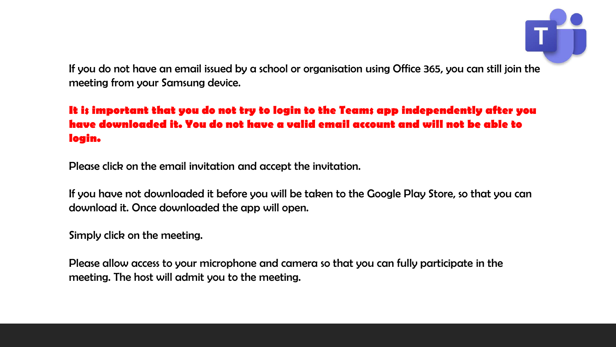

If you do not have an email issued by a school or organisation using Office 365, you can still join the meeting from your Samsung device.

#### **It is important that you do not try to login to the Teams app independently after you have downloaded it. You do not have a valid email account and will not be able to login.**

Please click on the email invitation and accept the invitation.

If you have not downloaded it before you will be taken to the Google Play Store, so that you can download it. Once downloaded the app will open.

Simply click on the meeting.

Please allow access to your microphone and camera so that you can fully participate in the meeting. The host will admit you to the meeting.